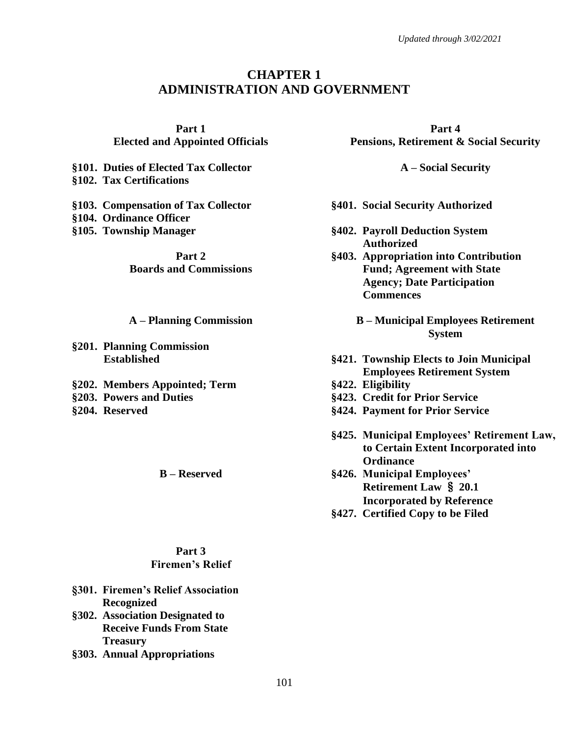# **CHAPTER 1 ADMINISTRATION AND GOVERNMENT**

**Part 1 Elected and Appointed Officials**

**§101. Duties of Elected Tax Collector A – Social Security §102. Tax Certifications**

**§103. Compensation of Tax Collector §104. Ordinance Officer**

> **Part 2 Boards and Commissions**

- **§201. Planning Commission**
- **§202. Members Appointed; Term §422. Eligibility §203. Powers and Duties §423. Credit for Prior Service**

#### **Part 3 Firemen's Relief**

- **§301. Firemen's Relief Association Recognized**
- **§302. Association Designated to Receive Funds From State Treasury**
- **§303. Annual Appropriations**

**Part 4 Pensions, Retirement & Social Security**

- **§401. Social Security Authorized**
- **§105. Township Manager §402. Payroll Deduction System Authorized**
	- **§403. Appropriation into Contribution Fund; Agreement with State Agency; Date Participation Commences**
	- **A – Planning Commission B – Municipal Employees Retirement System**
	- **Established §421. Township Elects to Join Municipal Employees Retirement System**
		-
		-
- **§204. Reserved §424. Payment for Prior Service**
	- **§425. Municipal Employees' Retirement Law, to Certain Extent Incorporated into Ordinance**
	- **B – Reserved §426. Municipal Employees' Retirement Law** § **20.1 Incorporated by Reference**
		- **§427. Certified Copy to be Filed**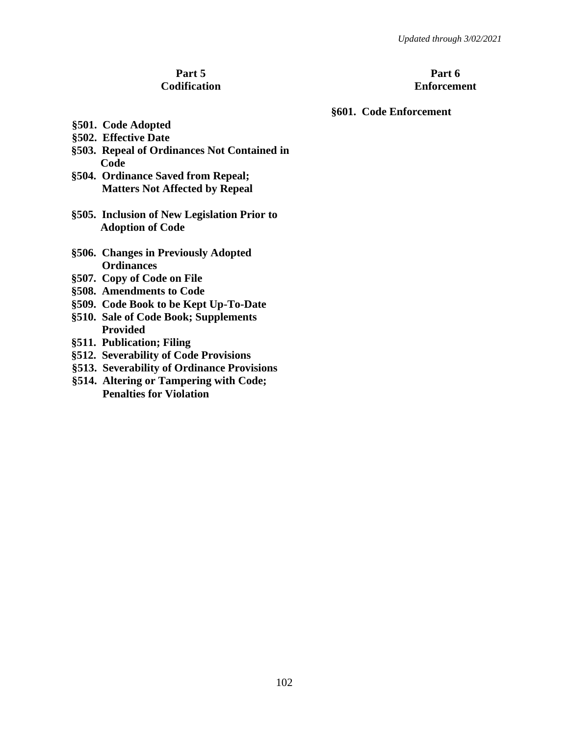#### **Part 5 Codification**

## **Part 6 Enforcement**

### **§601. Code Enforcement**

- **§501. Code Adopted**
- **§502. Effective Date**
- **§503. Repeal of Ordinances Not Contained in Code**
- **§504. Ordinance Saved from Repeal; Matters Not Affected by Repeal**
- **§505. Inclusion of New Legislation Prior to Adoption of Code**
- **§506. Changes in Previously Adopted Ordinances**
- **§507. Copy of Code on File**
- **§508. Amendments to Code**
- **§509. Code Book to be Kept Up-To-Date**
- **§510. Sale of Code Book; Supplements Provided**
- **§511. Publication; Filing**
- **§512. Severability of Code Provisions**
- **§513. Severability of Ordinance Provisions**
- **§514. Altering or Tampering with Code; Penalties for Violation**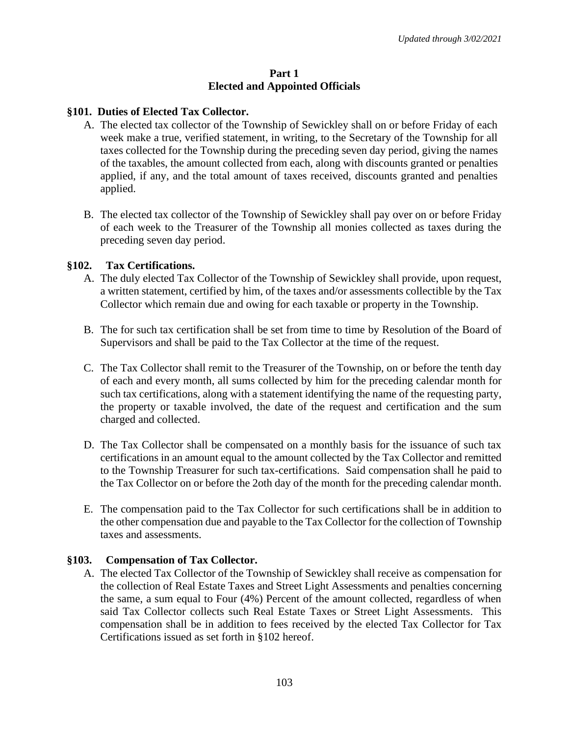#### **Part 1 Elected and Appointed Officials**

## **§101. Duties of Elected Tax Collector.**

- A. The elected tax collector of the Township of Sewickley shall on or before Friday of each week make a true, verified statement, in writing, to the Secretary of the Township for all taxes collected for the Township during the preceding seven day period, giving the names of the taxables, the amount collected from each, along with discounts granted or penalties applied, if any, and the total amount of taxes received, discounts granted and penalties applied.
- B. The elected tax collector of the Township of Sewickley shall pay over on or before Friday of each week to the Treasurer of the Township all monies collected as taxes during the preceding seven day period.

## **§102. Tax Certifications.**

- A. The duly elected Tax Collector of the Township of Sewickley shall provide, upon request, a written statement, certified by him, of the taxes and/or assessments collectible by the Tax Collector which remain due and owing for each taxable or property in the Township.
- B. The for such tax certification shall be set from time to time by Resolution of the Board of Supervisors and shall be paid to the Tax Collector at the time of the request.
- C. The Tax Collector shall remit to the Treasurer of the Township, on or before the tenth day of each and every month, all sums collected by him for the preceding calendar month for such tax certifications, along with a statement identifying the name of the requesting party, the property or taxable involved, the date of the request and certification and the sum charged and collected.
- D. The Tax Collector shall be compensated on a monthly basis for the issuance of such tax certifications in an amount equal to the amount collected by the Tax Collector and remitted to the Township Treasurer for such tax-certifications. Said compensation shall he paid to the Tax Collector on or before the 2oth day of the month for the preceding calendar month.
- E. The compensation paid to the Tax Collector for such certifications shall be in addition to the other compensation due and payable to the Tax Collector for the collection of Township taxes and assessments.

## **§103. Compensation of Tax Collector.**

A. The elected Tax Collector of the Township of Sewickley shall receive as compensation for the collection of Real Estate Taxes and Street Light Assessments and penalties concerning the same, a sum equal to Four (4%) Percent of the amount collected, regardless of when said Tax Collector collects such Real Estate Taxes or Street Light Assessments. This compensation shall be in addition to fees received by the elected Tax Collector for Tax Certifications issued as set forth in §102 hereof.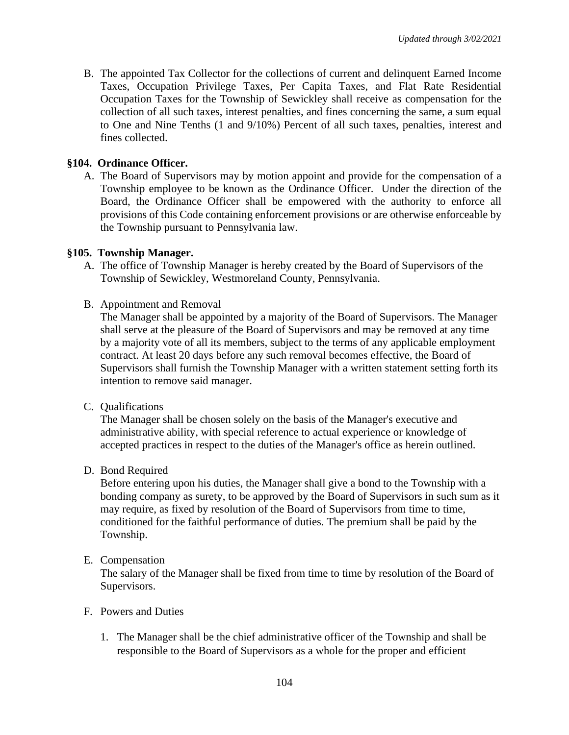B. The appointed Tax Collector for the collections of current and delinquent Earned Income Taxes, Occupation Privilege Taxes, Per Capita Taxes, and Flat Rate Residential Occupation Taxes for the Township of Sewickley shall receive as compensation for the collection of all such taxes, interest penalties, and fines concerning the same, a sum equal to One and Nine Tenths (1 and 9/10%) Percent of all such taxes, penalties, interest and fines collected.

## **§104. Ordinance Officer.**

A. The Board of Supervisors may by motion appoint and provide for the compensation of a Township employee to be known as the Ordinance Officer. Under the direction of the Board, the Ordinance Officer shall be empowered with the authority to enforce all provisions of this Code containing enforcement provisions or are otherwise enforceable by the Township pursuant to Pennsylvania law.

## **§105. Township Manager.**

- A. The office of Township Manager is hereby created by the Board of Supervisors of the Township of Sewickley, Westmoreland County, Pennsylvania.
- B. Appointment and Removal

The Manager shall be appointed by a majority of the Board of Supervisors. The Manager shall serve at the pleasure of the Board of Supervisors and may be removed at any time by a majority vote of all its members, subject to the terms of any applicable employment contract. At least 20 days before any such removal becomes effective, the Board of Supervisors shall furnish the Township Manager with a written statement setting forth its intention to remove said manager.

C. Qualifications

The Manager shall be chosen solely on the basis of the Manager's executive and administrative ability, with special reference to actual experience or knowledge of accepted practices in respect to the duties of the Manager's office as herein outlined.

D. Bond Required

Before entering upon his duties, the Manager shall give a bond to the Township with a bonding company as surety, to be approved by the Board of Supervisors in such sum as it may require, as fixed by resolution of the Board of Supervisors from time to time, conditioned for the faithful performance of duties. The premium shall be paid by the Township.

E. Compensation

The salary of the Manager shall be fixed from time to time by resolution of the Board of Supervisors.

- F. Powers and Duties
	- 1. The Manager shall be the chief administrative officer of the Township and shall be responsible to the Board of Supervisors as a whole for the proper and efficient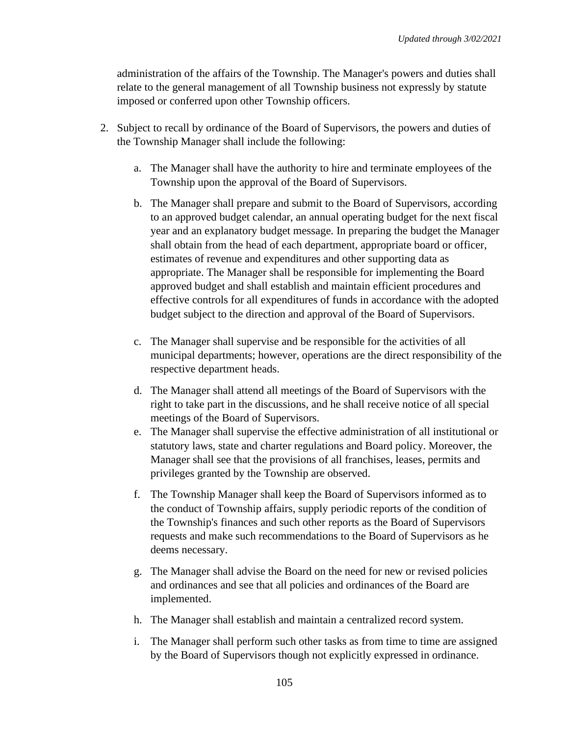administration of the affairs of the Township. The Manager's powers and duties shall relate to the general management of all Township business not expressly by statute imposed or conferred upon other Township officers.

- 2. Subject to recall by ordinance of the Board of Supervisors, the powers and duties of the Township Manager shall include the following:
	- a. The Manager shall have the authority to hire and terminate employees of the Township upon the approval of the Board of Supervisors.
	- b. The Manager shall prepare and submit to the Board of Supervisors, according to an approved budget calendar, an annual operating budget for the next fiscal year and an explanatory budget message. In preparing the budget the Manager shall obtain from the head of each department, appropriate board or officer, estimates of revenue and expenditures and other supporting data as appropriate. The Manager shall be responsible for implementing the Board approved budget and shall establish and maintain efficient procedures and effective controls for all expenditures of funds in accordance with the adopted budget subject to the direction and approval of the Board of Supervisors.
	- c. The Manager shall supervise and be responsible for the activities of all municipal departments; however, operations are the direct responsibility of the respective department heads.
	- d. The Manager shall attend all meetings of the Board of Supervisors with the right to take part in the discussions, and he shall receive notice of all special meetings of the Board of Supervisors.
	- e. The Manager shall supervise the effective administration of all institutional or statutory laws, state and charter regulations and Board policy. Moreover, the Manager shall see that the provisions of all franchises, leases, permits and privileges granted by the Township are observed.
	- f. The Township Manager shall keep the Board of Supervisors informed as to the conduct of Township affairs, supply periodic reports of the condition of the Township's finances and such other reports as the Board of Supervisors requests and make such recommendations to the Board of Supervisors as he deems necessary.
	- g. The Manager shall advise the Board on the need for new or revised policies and ordinances and see that all policies and ordinances of the Board are implemented.
	- h. The Manager shall establish and maintain a centralized record system.
	- i. The Manager shall perform such other tasks as from time to time are assigned by the Board of Supervisors though not explicitly expressed in ordinance.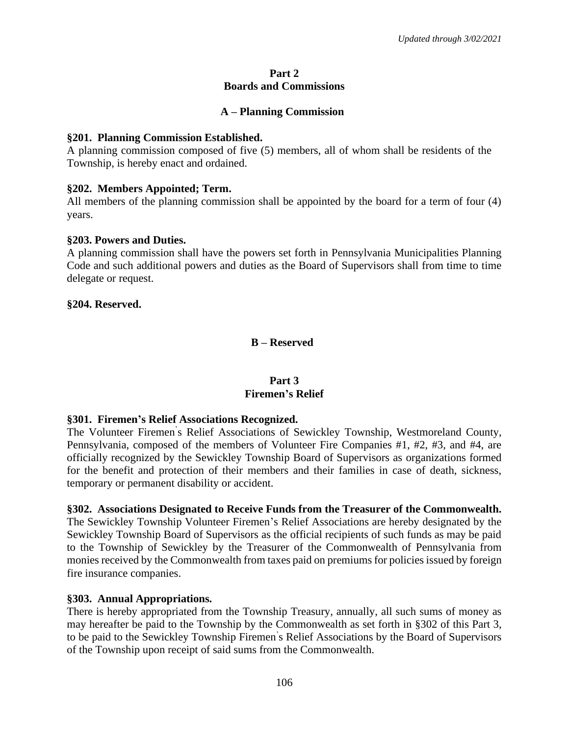### **Part 2 Boards and Commissions**

## **A – Planning Commission**

## **§201. Planning Commission Established.**

A planning commission composed of five (5) members, all of whom shall be residents of the Township, is hereby enact and ordained.

## **§202. Members Appointed; Term.**

All members of the planning commission shall be appointed by the board for a term of four (4) years.

## **§203. Powers and Duties.**

A planning commission shall have the powers set forth in Pennsylvania Municipalities Planning Code and such additional powers and duties as the Board of Supervisors shall from time to time delegate or request.

#### **§204. Reserved.**

**B – Reserved**

## **Part 3 Firemen's Relief**

## **§301. Firemen's Relief Associations Recognized.**

The Volunteer Firemen' s Relief Associations of Sewickley Township, Westmoreland County, Pennsylvania, composed of the members of Volunteer Fire Companies #1, #2, #3, and #4, are officially recognized by the Sewickley Township Board of Supervisors as organizations formed for the benefit and protection of their members and their families in case of death, sickness, temporary or permanent disability or accident.

#### **§302. Associations Designated to Receive Funds from the Treasurer of the Commonwealth.**

The Sewickley Township Volunteer Firemen's Relief Associations are hereby designated by the Sewickley Township Board of Supervisors as the official recipients of such funds as may be paid to the Township of Sewickley by the Treasurer of the Commonwealth of Pennsylvania from monies received by the Commonwealth from taxes paid on premiums for policies issued by foreign fire insurance companies.

## **§303. Annual Appropriations.**

There is hereby appropriated from the Township Treasury, annually, all such sums of money as may hereafter be paid to the Township by the Commonwealth as set forth in §302 of this Part 3, to be paid to the Sewickley Township Firemen' s Relief Associations by the Board of Supervisors of the Township upon receipt of said sums from the Commonwealth.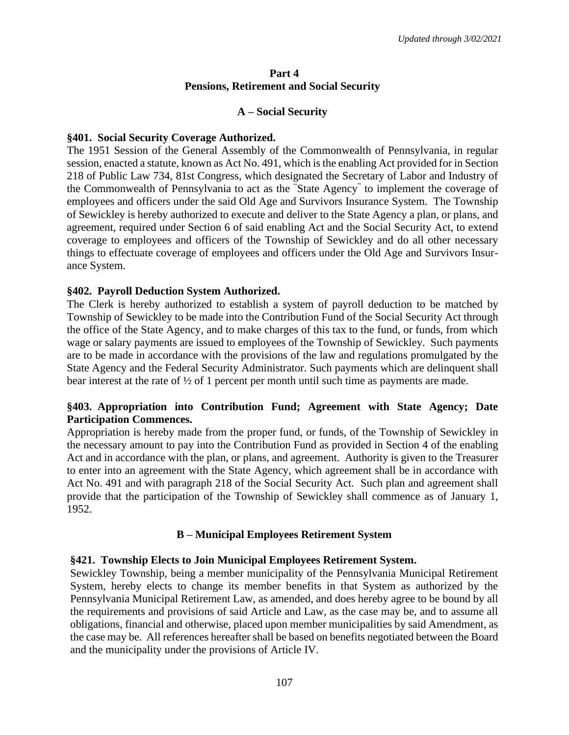## **Part 4 Pensions, Retirement and Social Security**

## **A – Social Security**

#### **§401. Social Security Coverage Authorized.**

The 1951 Session of the General Assembly of the Commonwealth of Pennsylvania, in regular session, enacted a statute, known as Act No. 491, which is the enabling Act provided for in Section 218 of Public Law 734, 81st Congress, which designated the Secretary of Labor and Industry of the Commonwealth of Pennsylvania to act as the "State Agency" to implement the coverage of employees and officers under the said Old Age and Survivors Insurance System. The Township of Sewickley is hereby authorized to execute and deliver to the State Agency a plan, or plans, and agreement, required under Section 6 of said enabling Act and the Social Security Act, to extend coverage to employees and officers of the Township of Sewickley and do all other necessary things to effectuate coverage of employees and officers under the Old Age and Survivors Insurance System.

## **§402. Payroll Deduction System Authorized.**

The Clerk is hereby authorized to establish a system of payroll deduction to be matched by Township of Sewickley to be made into the Contribution Fund of the Social Security Act through the office of the State Agency, and to make charges of this tax to the fund, or funds, from which wage or salary payments are issued to employees of the Township of Sewickley. Such payments are to be made in accordance with the provisions of the law and regulations promulgated by the State Agency and the Federal Security Administrator. Such payments which are delinquent shall bear interest at the rate of ½ of 1 percent per month until such time as payments are made.

## **§403. Appropriation into Contribution Fund; Agreement with State Agency; Date Participation Commences.**

Appropriation is hereby made from the proper fund, or funds, of the Township of Sewickley in the necessary amount to pay into the Contribution Fund as provided in Section 4 of the enabling Act and in accordance with the plan, or plans, and agreement. Authority is given to the Treasurer to enter into an agreement with the State Agency, which agreement shall be in accordance with Act No. 491 and with paragraph 218 of the Social Security Act. Such plan and agreement shall provide that the participation of the Township of Sewickley shall commence as of January 1, 1952.

## **B – Municipal Employees Retirement System**

#### **§421. Township Elects to Join Municipal Employees Retirement System.**

Sewickley Township, being a member municipality of the Pennsylvania Municipal Retirement System, hereby elects to change its member benefits in that System as authorized by the Pennsylvania Municipal Retirement Law, as amended, and does hereby agree to be bound by all the requirements and provisions of said Article and Law, as the case may be, and to assume all obligations, financial and otherwise, placed upon member municipalities by said Amendment, as the case may be. All references hereafter shall be based on benefits negotiated between the Board and the municipality under the provisions of Article IV.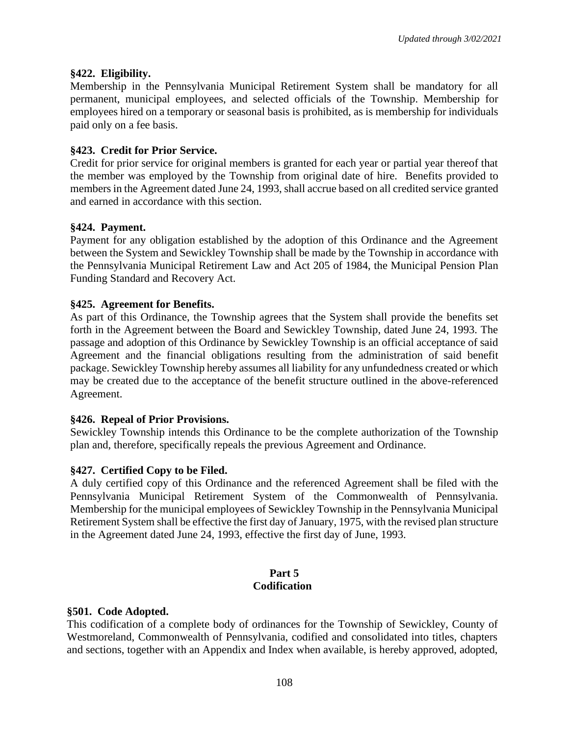## **§422. Eligibility.**

Membership in the Pennsylvania Municipal Retirement System shall be mandatory for all permanent, municipal employees, and selected officials of the Township. Membership for employees hired on a temporary or seasonal basis is prohibited, as is membership for individuals paid only on a fee basis.

## **§423. Credit for Prior Service.**

Credit for prior service for original members is granted for each year or partial year thereof that the member was employed by the Township from original date of hire. Benefits provided to members in the Agreement dated June 24, 1993, shall accrue based on all credited service granted and earned in accordance with this section.

## **§424. Payment.**

Payment for any obligation established by the adoption of this Ordinance and the Agreement between the System and Sewickley Township shall be made by the Township in accordance with the Pennsylvania Municipal Retirement Law and Act 205 of 1984, the Municipal Pension Plan Funding Standard and Recovery Act.

## **§425. Agreement for Benefits.**

As part of this Ordinance, the Township agrees that the System shall provide the benefits set forth in the Agreement between the Board and Sewickley Township, dated June 24, 1993. The passage and adoption of this Ordinance by Sewickley Township is an official acceptance of said Agreement and the financial obligations resulting from the administration of said benefit package. Sewickley Township hereby assumes all liability for any unfundedness created or which may be created due to the acceptance of the benefit structure outlined in the above-referenced Agreement.

#### **§426. Repeal of Prior Provisions.**

Sewickley Township intends this Ordinance to be the complete authorization of the Township plan and, therefore, specifically repeals the previous Agreement and Ordinance.

## **§427. Certified Copy to be Filed.**

A duly certified copy of this Ordinance and the referenced Agreement shall be filed with the Pennsylvania Municipal Retirement System of the Commonwealth of Pennsylvania. Membership for the municipal employees of Sewickley Township in the Pennsylvania Municipal Retirement System shall be effective the first day of January, 1975, with the revised plan structure in the Agreement dated June 24, 1993, effective the first day of June, 1993.

#### **Part 5 Codification**

#### **§501. Code Adopted.**

This codification of a complete body of ordinances for the Township of Sewickley, County of Westmoreland, Commonwealth of Pennsylvania, codified and consolidated into titles, chapters and sections, together with an Appendix and Index when available, is hereby approved, adopted,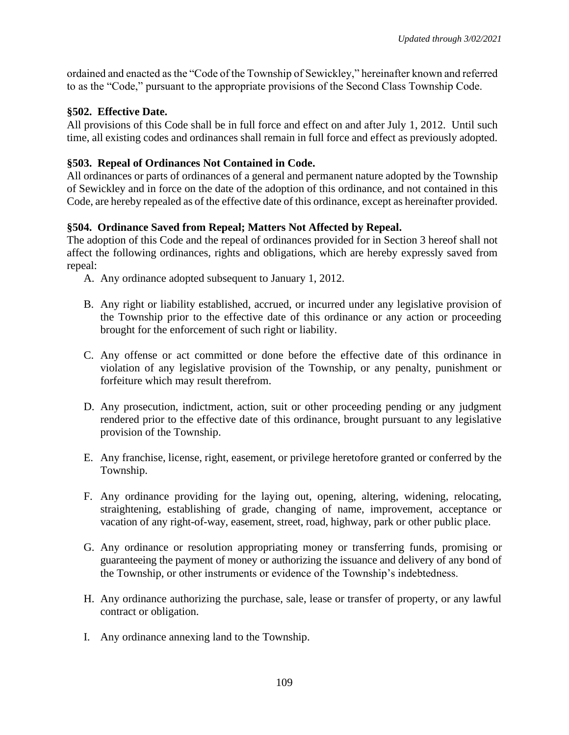ordained and enacted as the "Code of the Township of Sewickley," hereinafter known and referred to as the "Code," pursuant to the appropriate provisions of the Second Class Township Code.

## **§502. Effective Date.**

All provisions of this Code shall be in full force and effect on and after July 1, 2012. Until such time, all existing codes and ordinances shall remain in full force and effect as previously adopted.

## **§503. Repeal of Ordinances Not Contained in Code.**

All ordinances or parts of ordinances of a general and permanent nature adopted by the Township of Sewickley and in force on the date of the adoption of this ordinance, and not contained in this Code, are hereby repealed as of the effective date of this ordinance, except as hereinafter provided.

# **§504. Ordinance Saved from Repeal; Matters Not Affected by Repeal.**

The adoption of this Code and the repeal of ordinances provided for in Section 3 hereof shall not affect the following ordinances, rights and obligations, which are hereby expressly saved from repeal:

- A. Any ordinance adopted subsequent to January 1, 2012.
- B. Any right or liability established, accrued, or incurred under any legislative provision of the Township prior to the effective date of this ordinance or any action or proceeding brought for the enforcement of such right or liability.
- C. Any offense or act committed or done before the effective date of this ordinance in violation of any legislative provision of the Township, or any penalty, punishment or forfeiture which may result therefrom.
- D. Any prosecution, indictment, action, suit or other proceeding pending or any judgment rendered prior to the effective date of this ordinance, brought pursuant to any legislative provision of the Township.
- E. Any franchise, license, right, easement, or privilege heretofore granted or conferred by the Township.
- F. Any ordinance providing for the laying out, opening, altering, widening, relocating, straightening, establishing of grade, changing of name, improvement, acceptance or vacation of any right-of-way, easement, street, road, highway, park or other public place.
- G. Any ordinance or resolution appropriating money or transferring funds, promising or guaranteeing the payment of money or authorizing the issuance and delivery of any bond of the Township, or other instruments or evidence of the Township's indebtedness.
- H. Any ordinance authorizing the purchase, sale, lease or transfer of property, or any lawful contract or obligation.
- I. Any ordinance annexing land to the Township.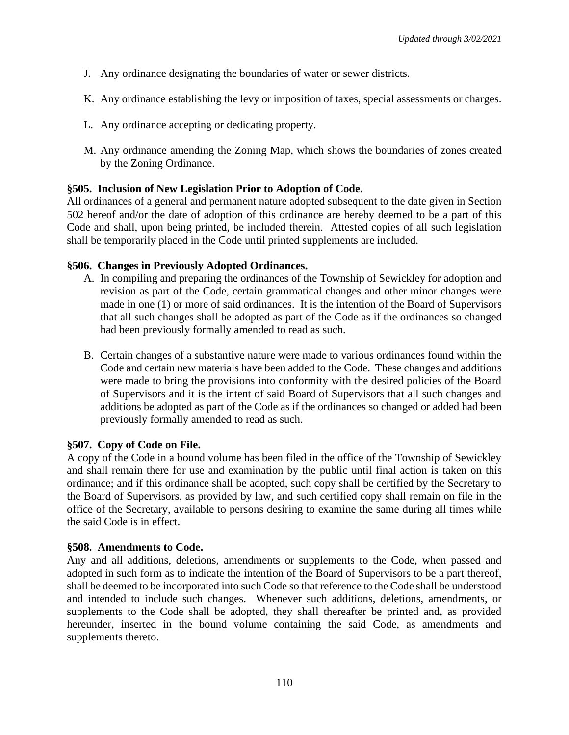- J. Any ordinance designating the boundaries of water or sewer districts.
- K. Any ordinance establishing the levy or imposition of taxes, special assessments or charges.
- L. Any ordinance accepting or dedicating property.
- M. Any ordinance amending the Zoning Map, which shows the boundaries of zones created by the Zoning Ordinance.

## **§505. Inclusion of New Legislation Prior to Adoption of Code.**

All ordinances of a general and permanent nature adopted subsequent to the date given in Section 502 hereof and/or the date of adoption of this ordinance are hereby deemed to be a part of this Code and shall, upon being printed, be included therein. Attested copies of all such legislation shall be temporarily placed in the Code until printed supplements are included.

## **§506. Changes in Previously Adopted Ordinances.**

- A. In compiling and preparing the ordinances of the Township of Sewickley for adoption and revision as part of the Code, certain grammatical changes and other minor changes were made in one (1) or more of said ordinances. It is the intention of the Board of Supervisors that all such changes shall be adopted as part of the Code as if the ordinances so changed had been previously formally amended to read as such.
- B. Certain changes of a substantive nature were made to various ordinances found within the Code and certain new materials have been added to the Code. These changes and additions were made to bring the provisions into conformity with the desired policies of the Board of Supervisors and it is the intent of said Board of Supervisors that all such changes and additions be adopted as part of the Code as if the ordinances so changed or added had been previously formally amended to read as such.

## **§507. Copy of Code on File.**

A copy of the Code in a bound volume has been filed in the office of the Township of Sewickley and shall remain there for use and examination by the public until final action is taken on this ordinance; and if this ordinance shall be adopted, such copy shall be certified by the Secretary to the Board of Supervisors, as provided by law, and such certified copy shall remain on file in the office of the Secretary, available to persons desiring to examine the same during all times while the said Code is in effect.

## **§508. Amendments to Code.**

Any and all additions, deletions, amendments or supplements to the Code, when passed and adopted in such form as to indicate the intention of the Board of Supervisors to be a part thereof, shall be deemed to be incorporated into such Code so that reference to the Code shall be understood and intended to include such changes. Whenever such additions, deletions, amendments, or supplements to the Code shall be adopted, they shall thereafter be printed and, as provided hereunder, inserted in the bound volume containing the said Code, as amendments and supplements thereto.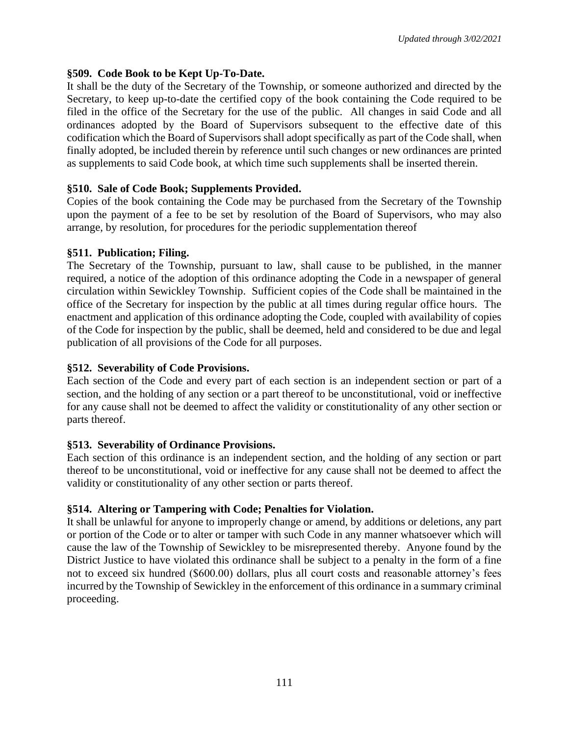## **§509. Code Book to be Kept Up-To-Date.**

It shall be the duty of the Secretary of the Township, or someone authorized and directed by the Secretary, to keep up-to-date the certified copy of the book containing the Code required to be filed in the office of the Secretary for the use of the public. All changes in said Code and all ordinances adopted by the Board of Supervisors subsequent to the effective date of this codification which the Board of Supervisors shall adopt specifically as part of the Code shall, when finally adopted, be included therein by reference until such changes or new ordinances are printed as supplements to said Code book, at which time such supplements shall be inserted therein.

# **§510. Sale of Code Book; Supplements Provided.**

Copies of the book containing the Code may be purchased from the Secretary of the Township upon the payment of a fee to be set by resolution of the Board of Supervisors, who may also arrange, by resolution, for procedures for the periodic supplementation thereof

# **§511. Publication; Filing.**

The Secretary of the Township, pursuant to law, shall cause to be published, in the manner required, a notice of the adoption of this ordinance adopting the Code in a newspaper of general circulation within Sewickley Township. Sufficient copies of the Code shall be maintained in the office of the Secretary for inspection by the public at all times during regular office hours. The enactment and application of this ordinance adopting the Code, coupled with availability of copies of the Code for inspection by the public, shall be deemed, held and considered to be due and legal publication of all provisions of the Code for all purposes.

# **§512. Severability of Code Provisions.**

Each section of the Code and every part of each section is an independent section or part of a section, and the holding of any section or a part thereof to be unconstitutional, void or ineffective for any cause shall not be deemed to affect the validity or constitutionality of any other section or parts thereof.

## **§513. Severability of Ordinance Provisions.**

Each section of this ordinance is an independent section, and the holding of any section or part thereof to be unconstitutional, void or ineffective for any cause shall not be deemed to affect the validity or constitutionality of any other section or parts thereof.

# **§514. Altering or Tampering with Code; Penalties for Violation.**

It shall be unlawful for anyone to improperly change or amend, by additions or deletions, any part or portion of the Code or to alter or tamper with such Code in any manner whatsoever which will cause the law of the Township of Sewickley to be misrepresented thereby. Anyone found by the District Justice to have violated this ordinance shall be subject to a penalty in the form of a fine not to exceed six hundred (\$600.00) dollars, plus all court costs and reasonable attorney's fees incurred by the Township of Sewickley in the enforcement of this ordinance in a summary criminal proceeding.